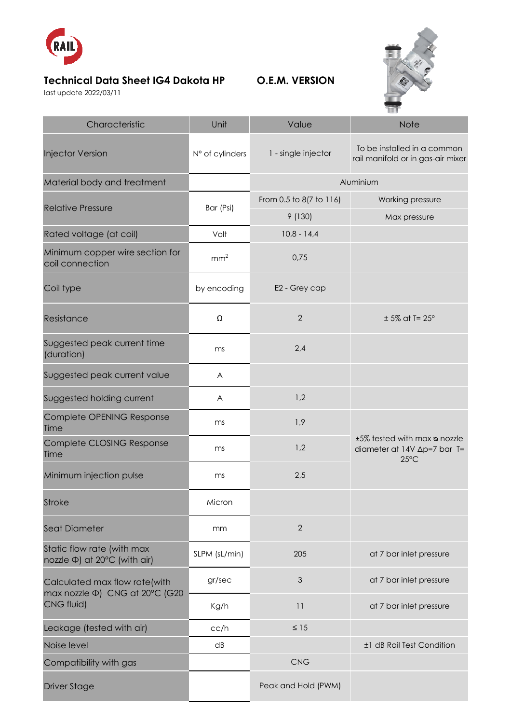

## **Technical Data Sheet IG4 Dakota HP O.E.M. VERSION**

last update 2022/03/11



| Characteristic                                                                      | Unit            | Value                   | <b>Note</b>                                                                   |
|-------------------------------------------------------------------------------------|-----------------|-------------------------|-------------------------------------------------------------------------------|
| <b>Injector Version</b>                                                             | N° of cylinders | 1 - single injector     | To be installed in a common<br>rail manifold or in gas-air mixer              |
| Material body and treatment                                                         |                 | Aluminium               |                                                                               |
| <b>Relative Pressure</b>                                                            | Bar (Psi)       | From 0.5 to 8(7 to 116) | Working pressure                                                              |
|                                                                                     |                 | 9(130)                  | Max pressure                                                                  |
| Rated voltage (at coil)                                                             | Volt            | $10,8 - 14,4$           |                                                                               |
| Minimum copper wire section for<br>coil connection                                  | mm <sup>2</sup> | 0,75                    |                                                                               |
| Coil type                                                                           | by encoding     | E2 - Grey cap           |                                                                               |
| Resistance                                                                          | Ω               | $\overline{2}$          | $± 5\%$ at T= 25°                                                             |
| Suggested peak current time<br>(duration)                                           | ms              | 2,4                     |                                                                               |
| Suggested peak current value                                                        | A               |                         |                                                                               |
| Suggested holding current                                                           | A               | 1,2                     |                                                                               |
| Complete OPENING Response<br>Time                                                   | ms              | 1,9                     | ±5% tested with max a nozzle<br>diameter at 14V ∆p=7 bar T=<br>$25^{\circ}$ C |
| Complete CLOSING Response<br>Time                                                   | ms              | 1,2                     |                                                                               |
| Minimum injection pulse                                                             | ms              | 2,5                     |                                                                               |
| <b>Stroke</b>                                                                       | Micron          |                         |                                                                               |
| <b>Seat Diameter</b>                                                                | mm              | $\overline{2}$          |                                                                               |
| Static flow rate (with max<br>nozzle Φ) at 20°C (with air)                          | SLPM (sL/min)   | 205                     | at 7 bar inlet pressure                                                       |
| Calculated max flow rate(with<br>max nozzle $\Phi$ ) CNG at 20°C (G20<br>CNG fluid) | gr/sec          | $\mathfrak{Z}$          | at 7 bar inlet pressure                                                       |
|                                                                                     | Kg/h            | 11                      | at 7 bar inlet pressure                                                       |
| Leakage (tested with air)                                                           | cc/h            | $\leq 15$               |                                                                               |
| Noise level                                                                         | dB              |                         | ±1 dB Rail Test Condition                                                     |
| Compatibility with gas                                                              |                 | <b>CNG</b>              |                                                                               |
| <b>Driver Stage</b>                                                                 |                 | Peak and Hold (PWM)     |                                                                               |